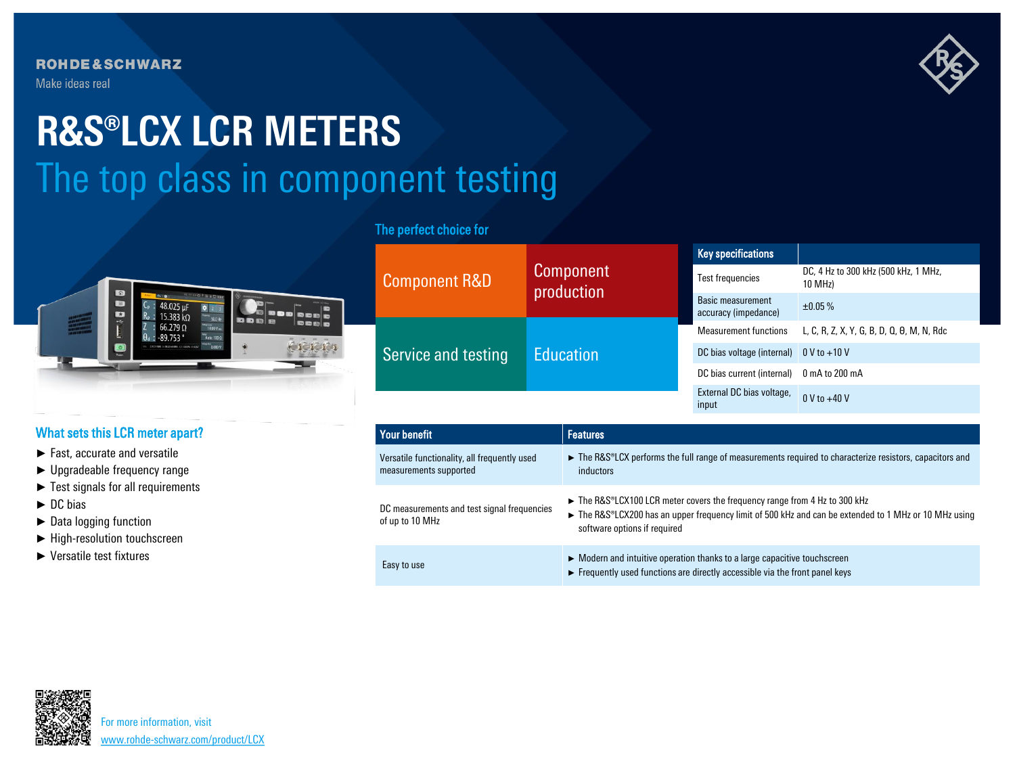**ROHDE&SCHWARZ** Make ideas real

# The top class in component testing **R&S®LCX LCR METERS**



# What sets this LCR meter apart?

- ► Fast, accurate and versatile
- ► Upgradeable frequency range
- ► Test signals for all requirements
- ► DC bias
- ► Data logging function
- ► High-resolution touchscreen
- ► Versatile test fixtures

# The perfect choice for

| <b>Component R&amp;D</b> | Component<br>production | <b>Key specifications</b>                        |                                                    |
|--------------------------|-------------------------|--------------------------------------------------|----------------------------------------------------|
|                          |                         | Test frequencies                                 | DC, 4 Hz to 300 kHz (500 kHz, 1 MHz,<br>10 MHz)    |
|                          |                         | <b>Basic measurement</b><br>accuracy (impedance) | ±0.05%                                             |
| Service and testing      | <b>Education</b>        | <b>Measurement functions</b>                     | L, C, R, Z, X, Y, G, B, D, Q, $\theta$ , M, N, Rdc |
|                          |                         | DC bias voltage (internal) $0 \vee$ to +10 V     |                                                    |
|                          |                         | DC bias current (internal)                       | 0 mA to 200 mA                                     |
|                          |                         | External DC bias voltage,<br>input               | $0 \text{ V}$ to $+40 \text{ V}$                   |

| Your benefit                                                           | <b>Features</b>                                                                                                                                                                                                 |
|------------------------------------------------------------------------|-----------------------------------------------------------------------------------------------------------------------------------------------------------------------------------------------------------------|
| Versatile functionality, all frequently used<br>measurements supported | ► The R&S®LCX performs the full range of measurements required to characterize resistors, capacitors and<br><i>inductors</i>                                                                                    |
| DC measurements and test signal frequencies<br>of up to 10 MHz         | The R&S®LCX100 LCR meter covers the frequency range from 4 Hz to 300 kHz<br>The R&S®LCX200 has an upper frequency limit of 500 kHz and can be extended to 1 MHz or 10 MHz using<br>software options if required |
| Easy to use                                                            | $\triangleright$ Modern and intuitive operation thanks to a large capacitive touchscreen<br>Frequently used functions are directly accessible via the front panel keys                                          |